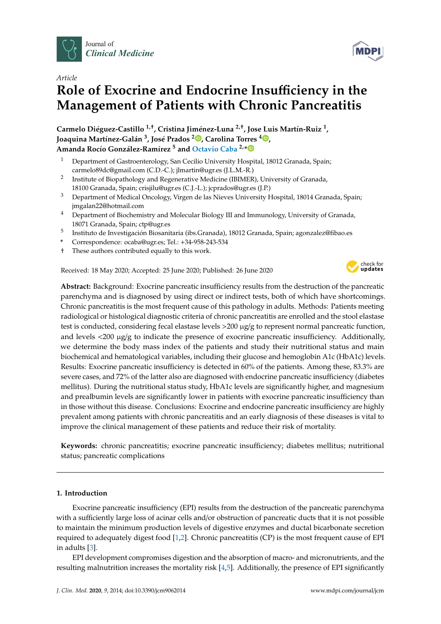



# **Role of Exocrine and Endocrine Insu**ffi**ciency in the Management of Patients with Chronic Pancreatitis**

**Carmelo Diéguez-Castillo 1,**† **, Cristina Jiménez-Luna 2,**† **, Jose Luis Martín-Ruiz <sup>1</sup> , Joaquina Martínez-Galán 3 , José Prados <sup>2</sup> [,](https://orcid.org/0000-0003-4303-7746) Carolina Torres <sup>4</sup> [,](https://orcid.org/0000-0002-7908-6884) Amanda Rocío González-Ramírez <sup>5</sup> and [Octavio Caba](https://sciprofiles.com/profile/549944) 2,[\\*](https://orcid.org/0000-0003-1802-1398)**

- <sup>1</sup> Department of Gastroenterology, San Cecilio University Hospital, 18012 Granada, Spain; carmelo89dc@gmail.com (C.D.-C.); jlmartin@ugr.es (J.L.M.-R.)
- $\mathcal{P}$ Institute of Biopathology and Regenerative Medicine (IBIMER), University of Granada, 18100 Granada, Spain; crisjilu@ugr.es (C.J.-L.); jcprados@ugr.es (J.P.)
- <sup>3</sup> Department of Medical Oncology, Virgen de las Nieves University Hospital, 18014 Granada, Spain; jmgalan22@hotmail.com
- <sup>4</sup> Department of Biochemistry and Molecular Biology III and Immunology, University of Granada, 18071 Granada, Spain; ctp@ugr.es
- 5 Instituto de Investigación Biosanitaria (ibs.Granada), 18012 Granada, Spain; agonzalez@fibao.es
- **\*** Correspondence: ocaba@ugr.es; Tel.: +34-958-243-534
- † These authors contributed equally to this work.

Received: 18 May 2020; Accepted: 25 June 2020; Published: 26 June 2020



**Abstract:** Background: Exocrine pancreatic insufficiency results from the destruction of the pancreatic parenchyma and is diagnosed by using direct or indirect tests, both of which have shortcomings. Chronic pancreatitis is the most frequent cause of this pathology in adults. Methods: Patients meeting radiological or histological diagnostic criteria of chronic pancreatitis are enrolled and the stool elastase test is conducted, considering fecal elastase levels >200 µg/g to represent normal pancreatic function, and levels  $\langle 200 \mu g/g \rangle$  to indicate the presence of exocrine pancreatic insufficiency. Additionally, we determine the body mass index of the patients and study their nutritional status and main biochemical and hematological variables, including their glucose and hemoglobin A1c (HbA1c) levels. Results: Exocrine pancreatic insufficiency is detected in 60% of the patients. Among these, 83.3% are severe cases, and 72% of the latter also are diagnosed with endocrine pancreatic insufficiency (diabetes mellitus). During the nutritional status study, HbA1c levels are significantly higher, and magnesium and prealbumin levels are significantly lower in patients with exocrine pancreatic insufficiency than in those without this disease. Conclusions: Exocrine and endocrine pancreatic insufficiency are highly prevalent among patients with chronic pancreatitis and an early diagnosis of these diseases is vital to improve the clinical management of these patients and reduce their risk of mortality.

**Keywords:** chronic pancreatitis; exocrine pancreatic insufficiency; diabetes mellitus; nutritional status; pancreatic complications

## **1. Introduction**

Exocrine pancreatic insufficiency (EPI) results from the destruction of the pancreatic parenchyma with a sufficiently large loss of acinar cells and/or obstruction of pancreatic ducts that it is not possible to maintain the minimum production levels of digestive enzymes and ductal bicarbonate secretion required to adequately digest food [\[1,](#page-10-0)[2\]](#page-10-1). Chronic pancreatitis (CP) is the most frequent cause of EPI in adults [\[3\]](#page-10-2).

EPI development compromises digestion and the absorption of macro- and micronutrients, and the resulting malnutrition increases the mortality risk [\[4,](#page-10-3)[5\]](#page-10-4). Additionally, the presence of EPI significantly

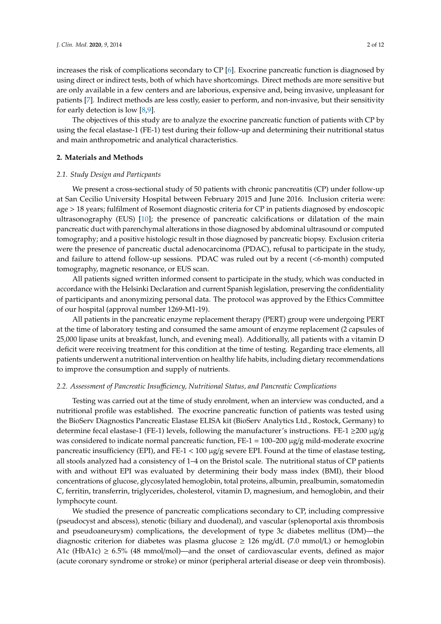increases the risk of complications secondary to CP [\[6\]](#page-10-5). Exocrine pancreatic function is diagnosed by using direct or indirect tests, both of which have shortcomings. Direct methods are more sensitive but are only available in a few centers and are laborious, expensive and, being invasive, unpleasant for patients [\[7\]](#page-10-6). Indirect methods are less costly, easier to perform, and non-invasive, but their sensitivity for early detection is low [\[8,](#page-10-7)[9\]](#page-10-8).

The objectives of this study are to analyze the exocrine pancreatic function of patients with CP by using the fecal elastase-1 (FE-1) test during their follow-up and determining their nutritional status and main anthropometric and analytical characteristics.

#### **2. Materials and Methods**

#### *2.1. Study Design and Particpants*

We present a cross-sectional study of 50 patients with chronic pancreatitis (CP) under follow-up at San Cecilio University Hospital between February 2015 and June 2016. Inclusion criteria were: age > 18 years; fulfilment of Rosemont diagnostic criteria for CP in patients diagnosed by endoscopic ultrasonography (EUS) [\[10\]](#page-10-9); the presence of pancreatic calcifications or dilatation of the main pancreatic duct with parenchymal alterations in those diagnosed by abdominal ultrasound or computed tomography; and a positive histologic result in those diagnosed by pancreatic biopsy. Exclusion criteria were the presence of pancreatic ductal adenocarcinoma (PDAC), refusal to participate in the study, and failure to attend follow-up sessions. PDAC was ruled out by a recent (<6-month) computed tomography, magnetic resonance, or EUS scan.

All patients signed written informed consent to participate in the study, which was conducted in accordance with the Helsinki Declaration and current Spanish legislation, preserving the confidentiality of participants and anonymizing personal data. The protocol was approved by the Ethics Committee of our hospital (approval number 1269-M1-19).

All patients in the pancreatic enzyme replacement therapy (PERT) group were undergoing PERT at the time of laboratory testing and consumed the same amount of enzyme replacement (2 capsules of 25,000 lipase units at breakfast, lunch, and evening meal). Additionally, all patients with a vitamin D deficit were receiving treatment for this condition at the time of testing. Regarding trace elements, all patients underwent a nutritional intervention on healthy life habits, including dietary recommendations to improve the consumption and supply of nutrients.

#### *2.2. Assessment of Pancreatic Insu*ffi*ciency, Nutritional Status, and Pancreatic Complications*

Testing was carried out at the time of study enrolment, when an interview was conducted, and a nutritional profile was established. The exocrine pancreatic function of patients was tested using the BioServ Diagnostics Pancreatic Elastase ELISA kit (BioServ Analytics Ltd., Rostock, Germany) to determine fecal elastase-1 (FE-1) levels, following the manufacturer's instructions. FE-1  $\geq$ 200  $\mu$ g/g was considered to indicate normal pancreatic function, FE-1 = 100–200 µg/g mild-moderate exocrine pancreatic insufficiency (EPI), and FE-1 < 100  $\mu$ g/g severe EPI. Found at the time of elastase testing, all stools analyzed had a consistency of 1–4 on the Bristol scale. The nutritional status of CP patients with and without EPI was evaluated by determining their body mass index (BMI), their blood concentrations of glucose, glycosylated hemoglobin, total proteins, albumin, prealbumin, somatomedin C, ferritin, transferrin, triglycerides, cholesterol, vitamin D, magnesium, and hemoglobin, and their lymphocyte count.

We studied the presence of pancreatic complications secondary to CP, including compressive (pseudocyst and abscess), stenotic (biliary and duodenal), and vascular (splenoportal axis thrombosis and pseudoaneurysm) complications, the development of type 3c diabetes mellitus (DM)—the diagnostic criterion for diabetes was plasma glucose  $\geq$  126 mg/dL (7.0 mmol/L) or hemoglobin A1c (HbA1c)  $\geq$  6.5% (48 mmol/mol)—and the onset of cardiovascular events, defined as major (acute coronary syndrome or stroke) or minor (peripheral arterial disease or deep vein thrombosis).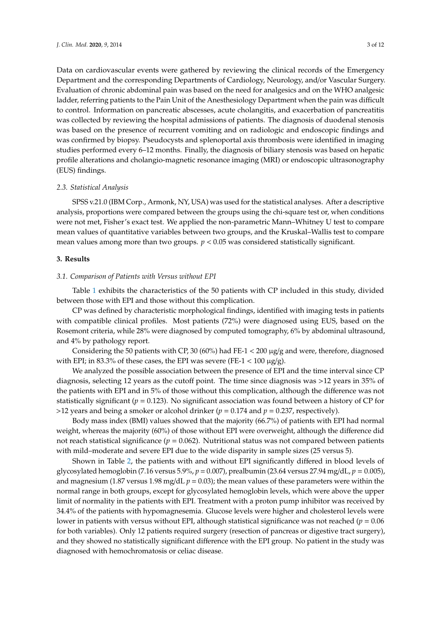Data on cardiovascular events were gathered by reviewing the clinical records of the Emergency Department and the corresponding Departments of Cardiology, Neurology, and/or Vascular Surgery. Evaluation of chronic abdominal pain was based on the need for analgesics and on the WHO analgesic ladder, referring patients to the Pain Unit of the Anesthesiology Department when the pain was difficult to control. Information on pancreatic abscesses, acute cholangitis, and exacerbation of pancreatitis was collected by reviewing the hospital admissions of patients. The diagnosis of duodenal stenosis was based on the presence of recurrent vomiting and on radiologic and endoscopic findings and was confirmed by biopsy. Pseudocysts and splenoportal axis thrombosis were identified in imaging studies performed every 6–12 months. Finally, the diagnosis of biliary stenosis was based on hepatic profile alterations and cholangio-magnetic resonance imaging (MRI) or endoscopic ultrasonography (EUS) findings.

#### *2.3. Statistical Analysis*

SPSS v.21.0 (IBM Corp., Armonk, NY, USA) was used for the statistical analyses. After a descriptive analysis, proportions were compared between the groups using the chi-square test or, when conditions were not met, Fisher's exact test. We applied the non-parametric Mann–Whitney U test to compare mean values of quantitative variables between two groups, and the Kruskal–Wallis test to compare mean values among more than two groups.  $p < 0.05$  was considered statistically significant.

#### **3. Results**

#### *3.1. Comparison of Patients with Versus without EPI*

Table [1](#page-3-0) exhibits the characteristics of the 50 patients with CP included in this study, divided between those with EPI and those without this complication.

CP was defined by characteristic morphological findings, identified with imaging tests in patients with compatible clinical profiles. Most patients (72%) were diagnosed using EUS, based on the Rosemont criteria, while 28% were diagnosed by computed tomography, 6% by abdominal ultrasound, and 4% by pathology report.

Considering the 50 patients with CP, 30 (60%) had FE-1  $\lt$  200  $\mu$ g/g and were, therefore, diagnosed with EPI; in 83.3% of these cases, the EPI was severe (FE-1  $<$  100  $\mu$ g/g).

We analyzed the possible association between the presence of EPI and the time interval since CP diagnosis, selecting 12 years as the cutoff point. The time since diagnosis was >12 years in 35% of the patients with EPI and in 5% of those without this complication, although the difference was not statistically significant  $(p = 0.123)$ . No significant association was found between a history of CP for  $>12$  years and being a smoker or alcohol drinker ( $p = 0.174$  and  $p = 0.237$ , respectively).

Body mass index (BMI) values showed that the majority (66.7%) of patients with EPI had normal weight, whereas the majority (60%) of those without EPI were overweight, although the difference did not reach statistical significance ( $p = 0.062$ ). Nutritional status was not compared between patients with mild–moderate and severe EPI due to the wide disparity in sample sizes (25 versus 5).

Shown in Table [2,](#page-3-1) the patients with and without EPI significantly differed in blood levels of glycosylated hemoglobin (7.16 versus 5.9%, *p* = 0.007), prealbumin (23.64 versus 27.94 mg/dL, *p* = 0.005), and magnesium (1.87 versus 1.98 mg/dL  $p = 0.03$ ); the mean values of these parameters were within the normal range in both groups, except for glycosylated hemoglobin levels, which were above the upper limit of normality in the patients with EPI. Treatment with a proton pump inhibitor was received by 34.4% of the patients with hypomagnesemia. Glucose levels were higher and cholesterol levels were lower in patients with versus without EPI, although statistical significance was not reached (*p* = 0.06 for both variables). Only 12 patients required surgery (resection of pancreas or digestive tract surgery), and they showed no statistically significant difference with the EPI group. No patient in the study was diagnosed with hemochromatosis or celiac disease.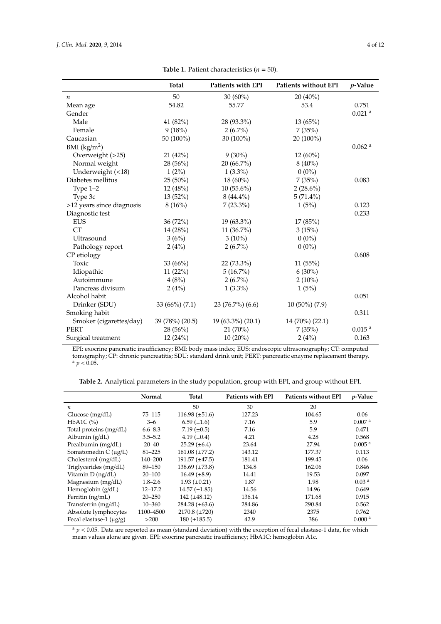<span id="page-3-0"></span>

|                           | <b>Total</b>    | Patients with EPI | Patients without EPI | <i>v</i> -Value      |
|---------------------------|-----------------|-------------------|----------------------|----------------------|
| $\boldsymbol{n}$          | 50              | $30(60\%)$        | $20(40\%)$           |                      |
| Mean age                  | 54.82           | 55.77             | 53.4                 | 0.751                |
| Gender                    |                 |                   |                      | $0.021$ <sup>a</sup> |
| Male                      | 41 (82%)        | 28 (93.3%)        | 13(65%)              |                      |
| Female                    | 9(18%)          | $2(6.7\%)$        | 7(35%)               |                      |
| Caucasian                 | 50 (100%)       | 30 (100%)         | 20 (100%)            |                      |
| BMI $(kg/m2)$             |                 |                   |                      | $0.062$ <sup>a</sup> |
| Overweight (>25)          | 21 (42%)        | $9(30\%)$         | 12 (60%)             |                      |
| Normal weight             | 28 (56%)        | 20 (66.7%)        | $8(40\%)$            |                      |
| Underweight (<18)         | $1(2\%)$        | $1(3.3\%)$        | $0(0\%)$             |                      |
| Diabetes mellitus         | $25(50\%)$      | 18 (60%)          | 7(35%)               | 0.083                |
| Type 1-2                  | 12 (48%)        | $10(55.6\%)$      | $2(28.6\%)$          |                      |
| Type 3c                   | 13 (52%)        | $8(44.4\%)$       | $5(71.4\%)$          |                      |
| >12 years since diagnosis | 8(16%)          | $7(23.3\%)$       | 1(5%)                | 0.123                |
| Diagnostic test           |                 |                   |                      | 0.233                |
| <b>EUS</b>                | 36(72%)         | 19 (63.3%)        | 17 (85%)             |                      |
| <b>CT</b>                 | 14 (28%)        | 11 (36.7%)        | 3(15%)               |                      |
| Ultrasound                | 3(6%)           | $3(10\%)$         | $0(0\%)$             |                      |
| Pathology report          | 2(4%)           | $2(6.7\%)$        | $0(0\%)$             |                      |
| CP etiology               |                 |                   |                      | 0.608                |
| Toxic                     | 33 $(66%)$      | 22 (73.3%)        | 11(55%)              |                      |
| Idiopathic                | 11(22%)         | $5(16.7\%)$       | $6(30\%)$            |                      |
| Autoimmune                | 4(8%)           | $2(6.7\%)$        | $2(10\%)$            |                      |
| Pancreas divisum          | 2(4%)           | $1(3.3\%)$        | 1(5%)                |                      |
| Alcohol habit             |                 |                   |                      | 0.051                |
| Drinker (SDU)             | 33 (66%) (7.1)  | 23(76.7%)(6.6)    | 10 (50%) (7.9)       |                      |
| Smoking habit             |                 |                   |                      | 0.311                |
| Smoker (cigarettes/day)   | 39 (78%) (20.5) | 19 (63.3%) (20.1) | 14 (70%) (22.1)      |                      |
| <b>PERT</b>               | 28 (56%)        | 21(70%)           | 7(35%)               | 0.015 <sup>a</sup>   |
| Surgical treatment        | 12(24%)         | $10(20\%)$        | 2(4%)                | 0.163                |

**Table 1.** Patient characteristics  $(n = 50)$ .

EPI: exocrine pancreatic insufficiency; BMI: body mass index; EUS: endoscopic ultrasonography; CT: computed tomography; CP: chronic pancreatitis; SDU: standard drink unit; PERT: pancreatic enzyme replacement therapy.  $a$   $p < 0.05$ .

**Table 2.** Analytical parameters in the study population, group with EPI, and group without EPI.

<span id="page-3-1"></span>

|                              | Normal      | Total                 | <b>Patients with EPI</b> | <b>Patients without EPI</b> | <i>p</i> -Value    |
|------------------------------|-------------|-----------------------|--------------------------|-----------------------------|--------------------|
| $\boldsymbol{n}$             |             | 50                    | 30                       | 20                          |                    |
| Glucose $(mg/dL)$            | 75–115      | 116.98 $(\pm 51.6)$   | 127.23                   | 104.65                      | 0.06               |
| $HbA1C$ $(\% )$              | $3 - 6$     | $6.59 \ (\pm 1.6)$    | 7.16                     | 5.9                         | 0.007 <sup>a</sup> |
| Total proteins (mg/dL)       | $6.6 - 8.3$ | 7.19 $(\pm 0.5)$      | 7.16                     | 5.9                         | 0.471              |
| Albumin $(g/dL)$             | $3.5 - 5.2$ | 4.19 $(\pm 0.4)$      | 4.21                     | 4.28                        | 0.568              |
| Prealbumin (mg/dL)           | $20 - 40$   | $25.29 \ (\pm 6.4)$   | 23.64                    | 27.94                       | 0.005 <sup>a</sup> |
| Somatomedin $C(\mu g/L)$     | $81 - 225$  | $161.08 (\pm 77.2)$   | 143.12                   | 177.37                      | 0.113              |
| Cholesterol (mg/dL)          | 140-200     | $191.57 \ (\pm 47.5)$ | 181.41                   | 199.45                      | 0.06               |
| Triglycerides (mg/dL)        | 89-150      | $138.69 \ (\pm 73.8)$ | 134.8                    | 162.06                      | 0.846              |
| Vitamin $D$ (ng/dL)          | $20 - 100$  | $16.49 \ (\pm 8.9)$   | 14.41                    | 19.53                       | 0.097              |
| Magnesium (mg/dL)            | $1.8 - 2.6$ | $1.93 \ (\pm 0.21)$   | 1.87                     | 1.98                        | 0.03 <sup>a</sup>  |
| Hemoglobin $(g/dL)$          | $12 - 17.2$ | $14.57 \ (\pm 1.85)$  | 14.56                    | 14.96                       | 0.649              |
| Ferritin $(ng/mL)$           | $20 - 250$  | 142 $(\pm 48.12)$     | 136.14                   | 171.68                      | 0.915              |
| Transferrin (mg/dL)          | $10 - 360$  | 284.28 $(\pm 63.6)$   | 284.86                   | 290.84                      | 0.562              |
| Absolute lymphocytes         | 1100-4500   | $2170.8 (\pm 720)$    | 2340                     | 2375                        | 0.762              |
| Fecal elastase-1 $(\mu g/g)$ | >200        | $180 (\pm 185.5)$     | 42.9                     | 386                         | 0.000 <sup>a</sup> |

 $a$   $p$  < 0.05. Data are reported as mean (standard deviation) with the exception of fecal elastase-1 data, for which mean values alone are given. EPI: exocrine pancreatic insufficiency; HbA1C: hemoglobin A1c.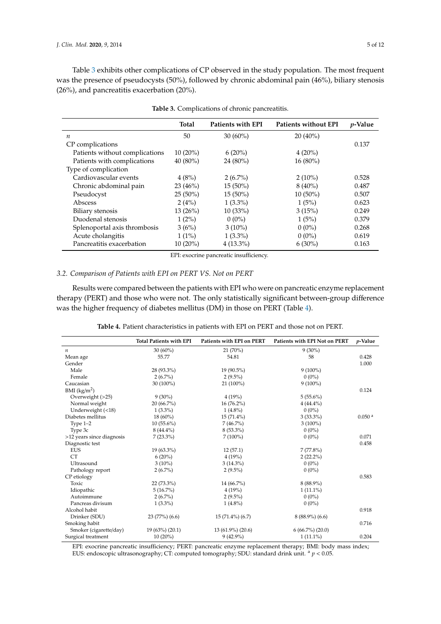Table [3](#page-4-0) exhibits other complications of CP observed in the study population. The most frequent was the presence of pseudocysts (50%), followed by chronic abdominal pain (46%), biliary stenosis (26%), and pancreatitis exacerbation (20%).

<span id="page-4-0"></span>

|                                | <b>Total</b> | Patients with EPI | Patients without EPI | <i>p</i> -Value |
|--------------------------------|--------------|-------------------|----------------------|-----------------|
| $\boldsymbol{n}$               | 50           | $30(60\%)$        | $20(40\%)$           |                 |
| CP complications               |              |                   |                      | 0.137           |
| Patients without complications | $10(20\%)$   | $6(20\%)$         | $4(20\%)$            |                 |
| Patients with complications    | $40(80\%)$   | $24(80\%)$        | $16(80\%)$           |                 |
| Type of complication           |              |                   |                      |                 |
| Cardiovascular events          | 4(8%)        | $2(6.7\%)$        | $2(10\%)$            | 0.528           |
| Chronic abdominal pain         | 23(46%)      | $15(50\%)$        | $8(40\%)$            | 0.487           |
| Pseudocyst                     | $25(50\%)$   | $15(50\%)$        | $10(50\%)$           | 0.507           |
| Abscess                        | 2(4%)        | $1(3.3\%)$        | 1(5%)                | 0.623           |
| Biliary stenosis               | $13(26\%)$   | 10(33%)           | 3(15%)               | 0.249           |
| Duodenal stenosis              | $1(2\%)$     | $0(0\%)$          | 1(5%)                | 0.379           |
| Splenoportal axis thrombosis   | 3(6%)        | $3(10\%)$         | $0(0\%)$             | 0.268           |
| Acute cholangitis              | $1(1\%)$     | $1(3.3\%)$        | $0(0\%)$             | 0.619           |
| Pancreatitis exacerbation      | $10(20\%)$   | $4(13.3\%)$       | $6(30\%)$            | 0.163           |

**Table 3.** Complications of chronic pancreatitis.

EPI: exocrine pancreatic insufficiency.

# *3.2. Comparison of Patients with EPI on PERT VS. Not on PERT*

Results were compared between the patients with EPI who were on pancreatic enzyme replacement therapy (PERT) and those who were not. The only statistically significant between-group difference was the higher frequency of diabetes mellitus (DM) in those on PERT (Table [4\)](#page-4-1).

**Table 4.** Patient characteristics in patients with EPI on PERT and those not on PERT.

<span id="page-4-1"></span>

|                           | <b>Total Patients with EPI</b> | Patients with EPI on PERT | Patients with EPI Not on PERT | <i>p</i> -Value    |
|---------------------------|--------------------------------|---------------------------|-------------------------------|--------------------|
| n                         | $30(60\%)$                     | 21(70%)                   | $9(30\%)$                     |                    |
| Mean age                  | 55.77                          | 54.81                     | 58                            | 0.428              |
| Gender                    |                                |                           |                               | 1.000              |
| Male                      | 28 (93.3%)                     | 19 (90.5%)                | $9(100\%)$                    |                    |
| Female                    | $2(6.7\%)$                     | $2(9.5\%)$                | $0(0\%)$                      |                    |
| Caucasian                 | 30 (100%)                      | 21 (100%)                 | $9(100\%)$                    |                    |
| BMI $(kg/m2)$             |                                |                           |                               | 0.124              |
| Overweight (>25)          | $9(30\%)$                      | 4(19%)                    | $5(55.6\%)$                   |                    |
| Normal weight             | $20(66.7\%)$                   | $16(76.2\%)$              | $4(44.4\%)$                   |                    |
| Underweight $(<18)$       | $1(3.3\%)$                     | $1(4.8\%)$                | $0(0\%)$                      |                    |
| Diabetes mellitus         | $18(60\%)$                     | $15(71.4\%)$              | $3(33.3\%)$                   | 0.050 <sup>a</sup> |
| Type $1-2$                | $10(55.6\%)$                   | $7(46.7\%)$               | $3(100\%)$                    |                    |
| Type 3c                   | $8(44.4\%)$                    | $8(53.3\%)$               | $0(0\%)$                      |                    |
| >12 years since diagnosis | $7(23.3\%)$                    | $7(100\%)$                | $0(0\%)$                      | 0.071              |
| Diagnostic test           |                                |                           |                               | 0.458              |
| <b>EUS</b>                | $19(63.3\%)$                   | 12(57.1)                  | $7(77.8\%)$                   |                    |
| <b>CT</b>                 | $6(20\%)$                      | 4(19%)                    | $2(22.2\%)$                   |                    |
| Ultrasound                | $3(10\%)$                      | $3(14.3\%)$               | $0(0\%)$                      |                    |
| Pathology report          | $2(6.7\%)$                     | $2(9.5\%)$                | $0(0\%)$                      |                    |
| CP etiology               |                                |                           |                               | 0.583              |
| Toxic                     | 22 (73.3%)                     | 14 (66.7%)                | $8(88.9\%)$                   |                    |
| Idiopathic                | $5(16.7\%)$                    | 4(19%)                    | $1(11.1\%)$                   |                    |
| Autoimmune                | $2(6.7\%)$                     | $2(9.5\%)$                | $0(0\%)$                      |                    |
| Pancreas divisum          | $1(3.3\%)$                     | $1(4.8\%)$                | $0(0\%)$                      |                    |
| Alcohol habit             |                                |                           |                               | 0.918              |
| Drinker (SDU)             | 23(77%)(6.6)                   | $15(71.4\%)(6.7)$         | $8(88.9\%)(6.6)$              |                    |
| Smoking habit             |                                |                           |                               | 0.716              |
| Smoker (cigarette/day)    | 19 (63%) (20.1)                | $13(61.9\%)(20.6)$        | $6(66.7\%) (20.0)$            |                    |
| Surgical treatment        | $10(20\%)$                     | $9(42.9\%)$               | $1(11.1\%)$                   | 0.204              |

EPI: exocrine pancreatic insufficiency; PERT: pancreatic enzyme replacement therapy; BMI: body mass index; EUS: endoscopic ultrasonography; CT: computed tomography; SDU: standard drink unit. <sup>a</sup> *p* < 0.05.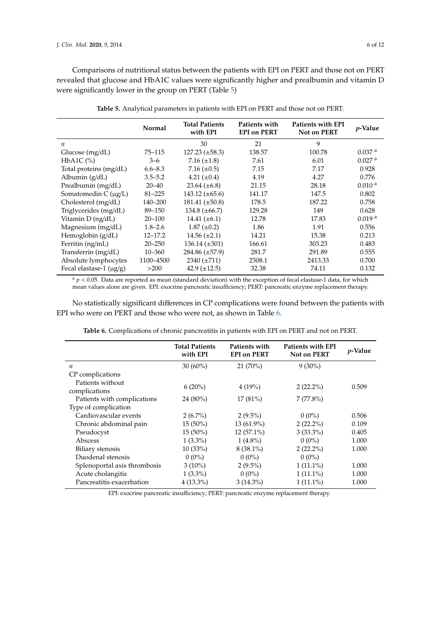Comparisons of nutritional status between the patients with EPI on PERT and those not on PERT revealed that glucose and HbA1C values were significantly higher and prealbumin and vitamin D were significantly lower in the group on PERT (Table [5\)](#page-5-0)

<span id="page-5-0"></span>

|                              | <b>Normal</b> | <b>Total Patients</b><br>with EPI | Patients with<br><b>EPI on PERT</b> | Patients with EPI<br>Not on PERT | $p$ -Value           |
|------------------------------|---------------|-----------------------------------|-------------------------------------|----------------------------------|----------------------|
| $\boldsymbol{n}$             |               | 30                                | 21                                  | 9                                |                      |
| Glucose $(mg/dL)$            | $75 - 115$    | $127.23 \ (\pm 58.3)$             | 138.57                              | 100.78                           | 0.037 <sup>a</sup>   |
| HbA1C $(%)$                  | $3 - 6$       | 7.16 $(\pm 1.8)$                  | 7.61                                | 6.01                             | $0.027$ <sup>a</sup> |
| Total proteins (mg/dL)       | $6.6 - 8.3$   | 7.16 $(\pm 0.5)$                  | 7.15                                | 7.17                             | 0.928                |
| Albumin (g/dL)               | $3.5 - 5.2$   | 4.21 $(\pm 0.4)$                  | 4.19                                | 4.27                             | 0.776                |
| Prealbumin (mg/dL)           | $20 - 40$     | $23.64 (\pm 6.8)$                 | 21.15                               | 28.18                            | 0.010 <sup>a</sup>   |
| Somatomedin C $(\mu g/L)$    | $81 - 225$    | $143.12 \ (\pm 65.6)$             | 141.17                              | 147.5                            | 0.802                |
| Cholesterol (mg/dL)          | 140-200       | $181.41 \ (\pm 50.8)$             | 178.5                               | 187.22                           | 0.758                |
| Triglycerides (mg/dL)        | 89-150        | $134.8 (\pm 66.7)$                | 129.28                              | 149                              | 0.628                |
| Vitamin D (ng/dL)            | $20 - 100$    | $14.41 (\pm 6.1)$                 | 12.78                               | 17.83                            | 0.019 <sup>a</sup>   |
| Magnesium (mg/dL)            | $1.8 - 2.6$   | $1.87 \ (\pm 0.2)$                | 1.86                                | 1.91                             | 0.556                |
| Hemoglobin (g/dL)            | $12 - 17.2$   | $14.56 \ (\pm 2.1)$               | 14.21                               | 15.38                            | 0.213                |
| Ferritin (ng/mL)             | $20 - 250$    | $136.14 \ (\pm 301)$              | 166.61                              | 303.23                           | 0.483                |
| Transferrin (mg/dL)          | $10 - 360$    | $284.86 \ (\pm 57.9)$             | 281.7                               | 291.89                           | 0.555                |
| Absolute lymphocytes         | 1100-4500     | $2340 (\pm 711)$                  | 2308.1                              | 2413.33                          | 0.700                |
| Fecal elastase-1 $(\mu g/g)$ | >200          | 42.9 $(\pm 12.5)$                 | 32.38                               | 74.11                            | 0.132                |

**Table 5.** Analytical parameters in patients with EPI on PERT and those not on PERT.

 $a$   $p$  < 0.05. Data are reported as mean (standard deviation) with the exception of fecal elastase-1 data, for which mean values alone are given. EPI: exocrine pancreatic insufficiency; PERT: pancreatic enzyme replacement therapy.

No statistically significant differences in CP complications were found between the patients with EPI who were on PERT and those who were not, as shown in Table [6.](#page-5-1)

<span id="page-5-1"></span>

| <i>p</i> -Value |
|-----------------|
|                 |
|                 |
| 0.509           |
|                 |
|                 |
| 0.506           |
| 0.109           |
| 0.405           |
| 1.000           |
| 1.000           |
|                 |
| 1.000           |
| 1.000           |
| 1.000           |
|                 |

**Table 6.** Complications of chronic pancreatitis in patients with EPI on PERT and not on PERT.

EPI: exocrine pancreatic insufficiency; PERT: pancreatic enzyme replacement therapy.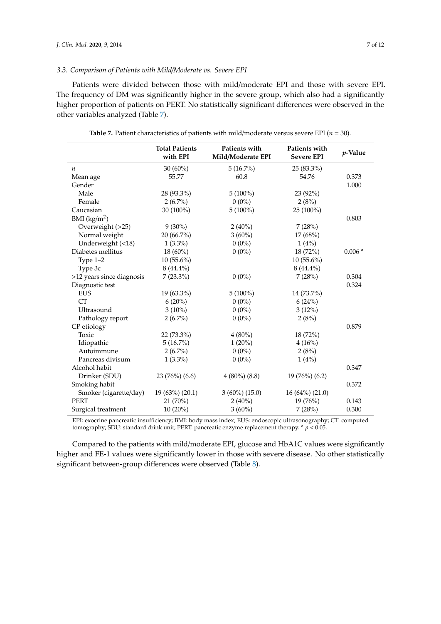#### *3.3. Comparison of Patients with Mild*/*Moderate vs. Severe EPI*

Patients were divided between those with mild/moderate EPI and those with severe EPI. The frequency of DM was significantly higher in the severe group, which also had a significantly higher proportion of patients on PERT. No statistically significant differences were observed in the other variables analyzed (Table [7\)](#page-6-0).

<span id="page-6-0"></span>

|                           | <b>Total Patients</b><br>with EPI | Patients with<br>Mild/Moderate EPI | Patients with<br><b>Severe EPI</b> | $p$ -Value         |
|---------------------------|-----------------------------------|------------------------------------|------------------------------------|--------------------|
| $\boldsymbol{n}$          | $30(60\%)$                        | 5(16.7%)                           | $25(83.3\%)$                       |                    |
| Mean age                  | 55.77                             | 60.8                               | 54.76                              | 0.373              |
| Gender                    |                                   |                                    |                                    | 1.000              |
| Male                      | 28 (93.3%)                        | $5(100\%)$                         | 23 (92%)                           |                    |
| Female                    | $2(6.7\%)$                        | $0(0\%)$                           | 2(8%)                              |                    |
| Caucasian                 | 30 (100%)                         | $5(100\%)$                         | 25 (100%)                          |                    |
| BMI $(kg/m2)$             |                                   |                                    |                                    | 0.803              |
| Overweight (>25)          | $9(30\%)$                         | $2(40\%)$                          | 7(28%)                             |                    |
| Normal weight             | 20 (66.7%)                        | $3(60\%)$                          | 17(68%)                            |                    |
| Underweight (<18)         | $1(3.3\%)$                        | $0(0\%)$                           | 1(4%)                              |                    |
| Diabetes mellitus         | 18 (60%)                          | $0(0\%)$                           | 18 (72%)                           | 0.006 <sup>a</sup> |
| Type $1-2$                | $10(55.6\%)$                      |                                    | $10(55.6\%)$                       |                    |
| Type 3c                   | $8(44.4\%)$                       |                                    | $8(44.4\%)$                        |                    |
| >12 years since diagnosis | $7(23.3\%)$                       | $0(0\%)$                           | 7(28%)                             | 0.304              |
| Diagnostic test           |                                   |                                    |                                    | 0.324              |
| <b>EUS</b>                | $19(63.3\%)$                      | $5(100\%)$                         | 14 (73.7%)                         |                    |
| <b>CT</b>                 | $6(20\%)$                         | $0(0\%)$                           | 6(24%)                             |                    |
| Ultrasound                | $3(10\%)$                         | $0(0\%)$                           | $3(12\%)$                          |                    |
| Pathology report          | $2(6.7\%)$                        | $0(0\%)$                           | 2(8%)                              |                    |
| CP etiology               |                                   |                                    |                                    | 0.879              |
| Toxic                     | 22 (73.3%)                        | $4(80\%)$                          | 18 (72%)                           |                    |
| Idiopathic                | $5(16.7\%)$                       | $1(20\%)$                          | 4(16%)                             |                    |
| Autoimmune                | $2(6.7\%)$                        | $0(0\%)$                           | 2(8%)                              |                    |
| Pancreas divisum          | $1(3.3\%)$                        | $0(0\%)$                           | 1(4%)                              |                    |
| Alcohol habit             |                                   |                                    |                                    | 0.347              |
| Drinker (SDU)             | 23 (76%) (6.6)                    | $4(80\%)(8.8)$                     | 19 (76%) (6.2)                     |                    |
| Smoking habit             |                                   |                                    |                                    | 0.372              |
| Smoker (cigarette/day)    | 19 (63%) (20.1)                   | $3(60\%)(15.0)$                    | 16 (64%) (21.0)                    |                    |
| <b>PERT</b>               | 21 (70%)                          | $2(40\%)$                          | 19 (76%)                           | 0.143              |
| Surgical treatment        | $10(20\%)$                        | $3(60\%)$                          | 7(28%)                             | 0.300              |

**Table 7.** Patient characteristics of patients with mild/moderate versus severe EPI (*n* = 30).

EPI: exocrine pancreatic insufficiency; BMI: body mass index; EUS: endoscopic ultrasonography; CT: computed tomography; SDU: standard drink unit; PERT: pancreatic enzyme replacement therapy. <sup>a</sup> *p* < 0.05.

Compared to the patients with mild/moderate EPI, glucose and HbA1C values were significantly higher and FE-1 values were significantly lower in those with severe disease. No other statistically significant between-group differences were observed (Table [8\)](#page-7-0).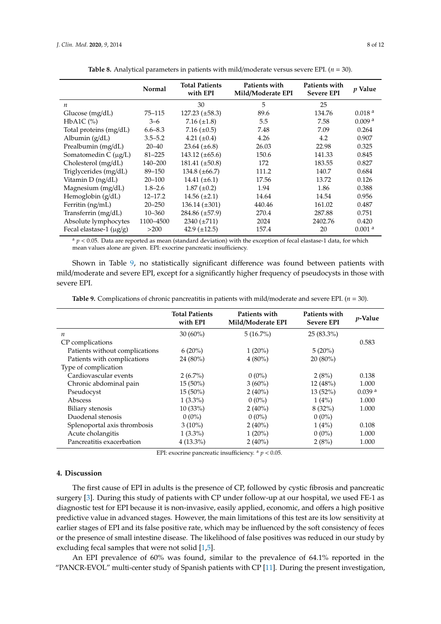<span id="page-7-0"></span>

|                              | Normal      | <b>Total Patients</b><br>with EPI | Patients with<br>Mild/Moderate EPI | Patients with<br><b>Severe EPI</b> | <i>p</i> Value     |
|------------------------------|-------------|-----------------------------------|------------------------------------|------------------------------------|--------------------|
| $\boldsymbol{n}$             |             | 30                                | 5                                  | 25                                 |                    |
| Glucose (mg/dL)              | 75–115      | $127.23 \ (\pm 58.3)$             | 89.6                               | 134.76                             | 0.018 <sup>a</sup> |
| HbA1C $(\%)$                 | $3 - 6$     | 7.16 $(\pm 1.8)$                  | 5.5                                | 7.58                               | 0.009 <sup>a</sup> |
| Total proteins (mg/dL)       | $6.6 - 8.3$ | 7.16 $(\pm 0.5)$                  | 7.48                               | 7.09                               | 0.264              |
| Albumin (g/dL)               | $3.5 - 5.2$ | 4.21 $(\pm 0.4)$                  | 4.26                               | 4.2                                | 0.907              |
| Prealbumin (mg/dL)           | $20 - 40$   | $23.64 (\pm 6.8)$                 | 26.03                              | 22.98                              | 0.325              |
| Somatomedin $C(\mu g/L)$     | $81 - 225$  | $143.12 \ (\pm 65.6)$             | 150.6                              | 141.33                             | 0.845              |
| $Cholesterol$ (mg/dL)        | 140-200     | $181.41 \ (\pm 50.8)$             | 172                                | 183.55                             | 0.827              |
| Triglycerides (mg/dL)        | 89-150      | $134.8 (\pm 66.7)$                | 111.2                              | 140.7                              | 0.684              |
| Vitamin D (ng/dL)            | $20 - 100$  | $14.41 (\pm 6.1)$                 | 17.56                              | 13.72                              | 0.126              |
| Magnesium (mg/dL)            | $1.8 - 2.6$ | $1.87 \ (\pm 0.2)$                | 1.94                               | 1.86                               | 0.388              |
| Hemoglobin (g/dL)            | $12 - 17.2$ | $14.56 \ (\pm 2.1)$               | 14.64                              | 14.54                              | 0.956              |
| Ferritin (ng/mL)             | $20 - 250$  | $136.14 \ (\pm 301)$              | 440.46                             | 161.02                             | 0.487              |
| Transferrin (mg/dL)          | $10 - 360$  | $284.86 \ (\pm 57.9)$             | 270.4                              | 287.88                             | 0.751              |
| Absolute lymphocytes         | 1100-4500   | $2340 (\pm 711)$                  | 2024                               | 2402.76                            | 0.420              |
| Fecal elastase-1 $(\mu g/g)$ | >200        | $42.9 \ (\pm 12.5)$               | 157.4                              | 20                                 | 0.001 <sup>a</sup> |

**Table 8.** Analytical parameters in patients with mild/moderate versus severe EPI.  $(n = 30)$ .

 $a$   $p$  < 0.05. Data are reported as mean (standard deviation) with the exception of fecal elastase-1 data, for which mean values alone are given. EPI: exocrine pancreatic insufficiency.

Shown in Table [9,](#page-7-1) no statistically significant difference was found between patients with mild/moderate and severe EPI, except for a significantly higher frequency of pseudocysts in those with severe EPI.

<span id="page-7-1"></span>**Table 9.** Complications of chronic pancreatitis in patients with mild/moderate and severe EPI. (*n* = 30).

|                                | <b>Total Patients</b><br>with EPI | Patients with<br>Mild/Moderate EPI | Patients with<br><b>Severe EPI</b> | <i>p</i> -Value    |
|--------------------------------|-----------------------------------|------------------------------------|------------------------------------|--------------------|
| $\boldsymbol{n}$               | $30(60\%)$                        | $5(16.7\%)$                        | $25(83.3\%)$                       |                    |
| CP complications               |                                   |                                    |                                    | 0.583              |
| Patients without complications | $6(20\%)$                         | $1(20\%)$                          | $5(20\%)$                          |                    |
| Patients with complications    | 24 (80%)                          | $4(80\%)$                          | $20(80\%)$                         |                    |
| Type of complication           |                                   |                                    |                                    |                    |
| Cardiovascular events          | $2(6.7\%)$                        | $0(0\%)$                           | 2(8%)                              | 0.138              |
| Chronic abdominal pain         | $15(50\%)$                        | $3(60\%)$                          | 12(48%)                            | 1.000              |
| Pseudocyst                     | $15(50\%)$                        | $2(40\%)$                          | $13(52\%)$                         | 0.039 <sup>a</sup> |
| Abscess                        | $1(3.3\%)$                        | $0(0\%)$                           | 1(4%)                              | 1.000              |
| Biliary stenosis               | 10(33%)                           | $2(40\%)$                          | 8(32%)                             | 1.000              |
| Duodenal stenosis              | $0(0\%)$                          | $0(0\%)$                           | $0(0\%)$                           |                    |
| Splenoportal axis thrombosis   | $3(10\%)$                         | $2(40\%)$                          | 1(4%)                              | 0.108              |
| Acute cholangitis              | $1(3.3\%)$                        | $1(20\%)$                          | $0(0\%)$                           | 1.000              |
| Pancreatitis exacerbation      | $4(13.3\%)$                       | $2(40\%)$                          | 2(8%)                              | 1.000              |

EPI: exocrine pancreatic insufficiency.  $a$   $p$  < 0.05.

# **4. Discussion**

The first cause of EPI in adults is the presence of CP, followed by cystic fibrosis and pancreatic surgery [\[3\]](#page-10-2). During this study of patients with CP under follow-up at our hospital, we used FE-1 as diagnostic test for EPI because it is non-invasive, easily applied, economic, and offers a high positive predictive value in advanced stages. However, the main limitations of this test are its low sensitivity at earlier stages of EPI and its false positive rate, which may be influenced by the soft consistency of feces or the presence of small intestine disease. The likelihood of false positives was reduced in our study by excluding fecal samples that were not solid [\[1,](#page-10-0)[5\]](#page-10-4).

An EPI prevalence of 60% was found, similar to the prevalence of 64.1% reported in the "PANCR-EVOL" multi-center study of Spanish patients with CP [\[11\]](#page-10-10). During the present investigation,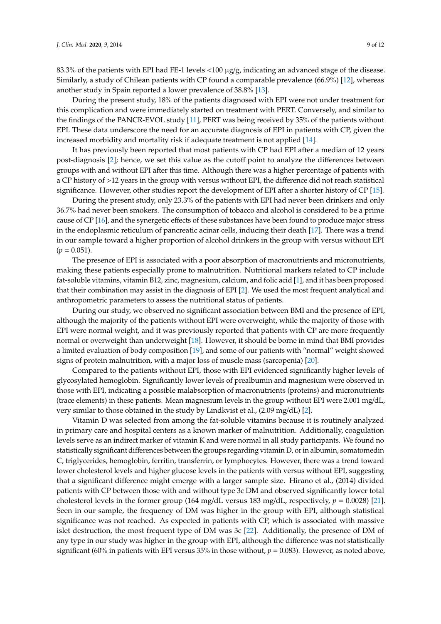83.3% of the patients with EPI had FE-1 levels  $\langle 100 \mu g/g$ , indicating an advanced stage of the disease. Similarly, a study of Chilean patients with CP found a comparable prevalence (66.9%) [\[12\]](#page-10-11), whereas another study in Spain reported a lower prevalence of 38.8% [\[13\]](#page-10-12).

During the present study, 18% of the patients diagnosed with EPI were not under treatment for this complication and were immediately started on treatment with PERT. Conversely, and similar to the findings of the PANCR-EVOL study [\[11\]](#page-10-10), PERT was being received by 35% of the patients without EPI. These data underscore the need for an accurate diagnosis of EPI in patients with CP, given the increased morbidity and mortality risk if adequate treatment is not applied [\[14\]](#page-10-13).

It has previously been reported that most patients with CP had EPI after a median of 12 years post-diagnosis [\[2\]](#page-10-1); hence, we set this value as the cutoff point to analyze the differences between groups with and without EPI after this time. Although there was a higher percentage of patients with a CP history of >12 years in the group with versus without EPI, the difference did not reach statistical significance. However, other studies report the development of EPI after a shorter history of CP [\[15\]](#page-10-14).

During the present study, only 23.3% of the patients with EPI had never been drinkers and only 36.7% had never been smokers. The consumption of tobacco and alcohol is considered to be a prime cause of CP [\[16\]](#page-10-15), and the synergetic effects of these substances have been found to produce major stress in the endoplasmic reticulum of pancreatic acinar cells, inducing their death [\[17\]](#page-10-16). There was a trend in our sample toward a higher proportion of alcohol drinkers in the group with versus without EPI  $(p = 0.051)$ .

The presence of EPI is associated with a poor absorption of macronutrients and micronutrients, making these patients especially prone to malnutrition. Nutritional markers related to CP include fat-soluble vitamins, vitamin B12, zinc, magnesium, calcium, and folic acid [\[1\]](#page-10-0), and it has been proposed that their combination may assist in the diagnosis of EPI [\[2\]](#page-10-1). We used the most frequent analytical and anthropometric parameters to assess the nutritional status of patients.

During our study, we observed no significant association between BMI and the presence of EPI, although the majority of the patients without EPI were overweight, while the majority of those with EPI were normal weight, and it was previously reported that patients with CP are more frequently normal or overweight than underweight [\[18\]](#page-10-17). However, it should be borne in mind that BMI provides a limited evaluation of body composition [\[19\]](#page-11-0), and some of our patients with "normal" weight showed signs of protein malnutrition, with a major loss of muscle mass (sarcopenia) [\[20\]](#page-11-1).

Compared to the patients without EPI, those with EPI evidenced significantly higher levels of glycosylated hemoglobin. Significantly lower levels of prealbumin and magnesium were observed in those with EPI, indicating a possible malabsorption of macronutrients (proteins) and micronutrients (trace elements) in these patients. Mean magnesium levels in the group without EPI were 2.001 mg/dL, very similar to those obtained in the study by Lindkvist et al., (2.09 mg/dL) [\[2\]](#page-10-1).

Vitamin D was selected from among the fat-soluble vitamins because it is routinely analyzed in primary care and hospital centers as a known marker of malnutrition. Additionally, coagulation levels serve as an indirect marker of vitamin K and were normal in all study participants. We found no statistically significant differences between the groups regarding vitamin D, or in albumin, somatomedin C, triglycerides, hemoglobin, ferritin, transferrin, or lymphocytes. However, there was a trend toward lower cholesterol levels and higher glucose levels in the patients with versus without EPI, suggesting that a significant difference might emerge with a larger sample size. Hirano et al., (2014) divided patients with CP between those with and without type 3c DM and observed significantly lower total cholesterol levels in the former group (164 mg/dL versus 183 mg/dL, respectively,  $p = 0.0028$ ) [\[21\]](#page-11-2). Seen in our sample, the frequency of DM was higher in the group with EPI, although statistical significance was not reached. As expected in patients with CP, which is associated with massive islet destruction, the most frequent type of DM was 3c [\[22\]](#page-11-3). Additionally, the presence of DM of any type in our study was higher in the group with EPI, although the difference was not statistically significant (60% in patients with EPI versus 35% in those without,  $p = 0.083$ ). However, as noted above,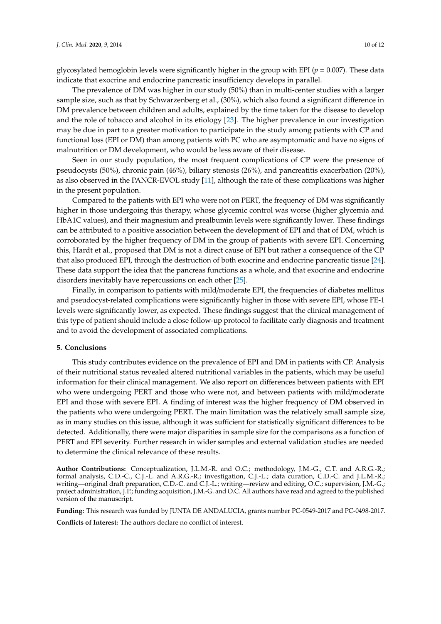glycosylated hemoglobin levels were significantly higher in the group with EPI (*p* = 0.007). These data indicate that exocrine and endocrine pancreatic insufficiency develops in parallel.

The prevalence of DM was higher in our study (50%) than in multi-center studies with a larger sample size, such as that by Schwarzenberg et al., (30%), which also found a significant difference in DM prevalence between children and adults, explained by the time taken for the disease to develop and the role of tobacco and alcohol in its etiology [\[23\]](#page-11-4). The higher prevalence in our investigation may be due in part to a greater motivation to participate in the study among patients with CP and functional loss (EPI or DM) than among patients with PC who are asymptomatic and have no signs of malnutrition or DM development, who would be less aware of their disease.

Seen in our study population, the most frequent complications of CP were the presence of pseudocysts (50%), chronic pain (46%), biliary stenosis (26%), and pancreatitis exacerbation (20%), as also observed in the PANCR-EVOL study [\[11\]](#page-10-10), although the rate of these complications was higher in the present population.

Compared to the patients with EPI who were not on PERT, the frequency of DM was significantly higher in those undergoing this therapy, whose glycemic control was worse (higher glycemia and HbA1C values), and their magnesium and prealbumin levels were significantly lower. These findings can be attributed to a positive association between the development of EPI and that of DM, which is corroborated by the higher frequency of DM in the group of patients with severe EPI. Concerning this, Hardt et al., proposed that DM is not a direct cause of EPI but rather a consequence of the CP that also produced EPI, through the destruction of both exocrine and endocrine pancreatic tissue [\[24\]](#page-11-5). These data support the idea that the pancreas functions as a whole, and that exocrine and endocrine disorders inevitably have repercussions on each other [\[25\]](#page-11-6).

Finally, in comparison to patients with mild/moderate EPI, the frequencies of diabetes mellitus and pseudocyst-related complications were significantly higher in those with severe EPI, whose FE-1 levels were significantly lower, as expected. These findings suggest that the clinical management of this type of patient should include a close follow-up protocol to facilitate early diagnosis and treatment and to avoid the development of associated complications.

#### **5. Conclusions**

This study contributes evidence on the prevalence of EPI and DM in patients with CP. Analysis of their nutritional status revealed altered nutritional variables in the patients, which may be useful information for their clinical management. We also report on differences between patients with EPI who were undergoing PERT and those who were not, and between patients with mild/moderate EPI and those with severe EPI. A finding of interest was the higher frequency of DM observed in the patients who were undergoing PERT. The main limitation was the relatively small sample size, as in many studies on this issue, although it was sufficient for statistically significant differences to be detected. Additionally, there were major disparities in sample size for the comparisons as a function of PERT and EPI severity. Further research in wider samples and external validation studies are needed to determine the clinical relevance of these results.

**Author Contributions:** Conceptualization, J.L.M.-R. and O.C.; methodology, J.M.-G., C.T. and A.R.G.-R.; formal analysis, C.D.-C., C.J.-L. and A.R.G.-R.; investigation, C.J.-L.; data curation, C.D.-C. and J.L.M.-R.; writing—original draft preparation, C.D.-C. and C.J.-L.; writing—review and editing, O.C.; supervision, J.M.-G.; project administration, J.P.; funding acquisition, J.M.-G. and O.C. All authors have read and agreed to the published version of the manuscript.

**Funding:** This research was funded by JUNTA DE ANDALUCIA, grants number PC-0549-2017 and PC-0498-2017.

**Conflicts of Interest:** The authors declare no conflict of interest.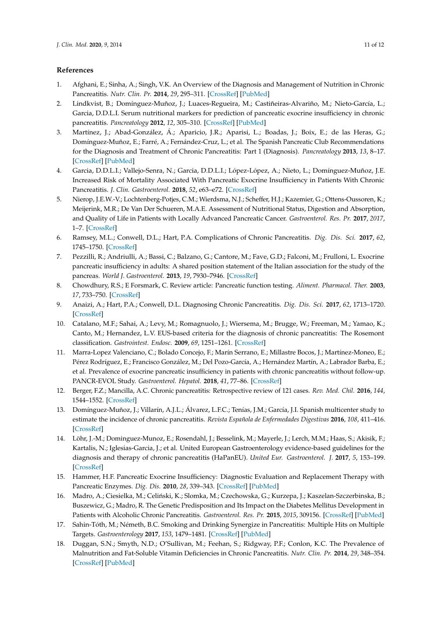### **References**

- <span id="page-10-0"></span>1. Afghani, E.; Sinha, A.; Singh, V.K. An Overview of the Diagnosis and Management of Nutrition in Chronic Pancreatitis. *Nutr. Clin. Pr.* **2014**, *29*, 295–311. [\[CrossRef\]](http://dx.doi.org/10.1177/0884533614529996) [\[PubMed\]](http://www.ncbi.nlm.nih.gov/pubmed/24743046)
- <span id="page-10-1"></span>2. Lindkvist, B.; Domínguez-Muñoz, J.; Luaces-Regueira, M.; Castiñeiras-Alvariño, M.; Nieto-García, L.; Garcia, D.D.L.I. Serum nutritional markers for prediction of pancreatic exocrine insufficiency in chronic pancreatitis. *Pancreatology* **2012**, *12*, 305–310. [\[CrossRef\]](http://dx.doi.org/10.1016/j.pan.2012.04.006) [\[PubMed\]](http://www.ncbi.nlm.nih.gov/pubmed/22898630)
- <span id="page-10-2"></span>3. Martínez, J.; Abad-González, Á.; Aparicio, J.R.; Aparisi, L.; Boadas, J.; Boix, E.; de las Heras, G.; Domínguez-Muñoz, E.; Farré, A.; Fernández-Cruz, L.; et al. The Spanish Pancreatic Club Recommendations for the Diagnosis and Treatment of Chronic Pancreatitis: Part 1 (Diagnosis). *Pancreatology* **2013**, *13*, 8–17. [\[CrossRef\]](http://dx.doi.org/10.1016/j.pan.2012.11.309) [\[PubMed\]](http://www.ncbi.nlm.nih.gov/pubmed/23395564)
- <span id="page-10-3"></span>4. Garcia, D.D.L.I.; Vallejo-Senra, N.; Garcia, D.D.L.I.; López-López, A.; Nieto, L.; Domínguez-Muñoz, J.E. Increased Risk of Mortality Associated With Pancreatic Exocrine Insufficiency in Patients With Chronic Pancreatitis. *J. Clin. Gastroenterol.* **2018**, *52*, e63–e72. [\[CrossRef\]](http://dx.doi.org/10.1097/MCG.0000000000000917)
- <span id="page-10-4"></span>5. Nierop, J.E.W.-V.; Lochtenberg-Potjes, C.M.; Wierdsma, N.J.; Scheffer, H.J.; Kazemier, G.; Ottens-Oussoren, K.; Meijerink, M.R.; De Van Der Schueren, M.A.E. Assessment of Nutritional Status, Digestion and Absorption, and Quality of Life in Patients with Locally Advanced Pancreatic Cancer. *Gastroenterol. Res. Pr.* **2017**, *2017*, 1–7. [\[CrossRef\]](http://dx.doi.org/10.1155/2017/6193765)
- <span id="page-10-5"></span>6. Ramsey, M.L.; Conwell, D.L.; Hart, P.A. Complications of Chronic Pancreatitis. *Dig. Dis. Sci.* **2017**, *62*, 1745–1750. [\[CrossRef\]](http://dx.doi.org/10.1007/s10620-017-4518-x)
- <span id="page-10-6"></span>7. Pezzilli, R.; Andriulli, A.; Bassi, C.; Balzano, G.; Cantore, M.; Fave, G.D.; Falconi, M.; Frulloni, L. Exocrine pancreatic insufficiency in adults: A shared position statement of the Italian association for the study of the pancreas. *World J. Gastroenterol.* **2013**, *19*, 7930–7946. [\[CrossRef\]](http://dx.doi.org/10.3748/wjg.v19.i44.7930)
- <span id="page-10-7"></span>8. Chowdhury, R.S.; E Forsmark, C. Review article: Pancreatic function testing. *Aliment. Pharmacol. Ther.* **2003**, *17*, 733–750. [\[CrossRef\]](http://dx.doi.org/10.1046/j.1365-2036.2003.01495.x)
- <span id="page-10-8"></span>9. Anaizi, A.; Hart, P.A.; Conwell, D.L. Diagnosing Chronic Pancreatitis. *Dig. Dis. Sci.* **2017**, *62*, 1713–1720. [\[CrossRef\]](http://dx.doi.org/10.1007/s10620-017-4493-2)
- <span id="page-10-9"></span>10. Catalano, M.F.; Sahai, A.; Levy, M.; Romagnuolo, J.; Wiersema, M.; Brugge, W.; Freeman, M.; Yamao, K.; Canto, M.; Hernandez, L.V. EUS-based criteria for the diagnosis of chronic pancreatitis: The Rosemont classification. *Gastrointest. Endosc.* **2009**, *69*, 1251–1261. [\[CrossRef\]](http://dx.doi.org/10.1016/j.gie.2008.07.043)
- <span id="page-10-10"></span>11. Marra-Lopez Valenciano, C.; Bolado Concejo, F.; Marín Serrano, E.; Millastre Bocos, J.; Martínez-Moneo, E.; Pérez Rodríguez, E.; Francisco González, M.; Del Pozo-García, A.; Hernández Martín, A.; Labrador Barba, E.; et al. Prevalence of exocrine pancreatic insufficiency in patients with chronic pancreatitis without follow-up. PANCR-EVOL Study. *Gastroenterol. Hepatol.* **2018**, *41*, 77–86. [\[CrossRef\]](http://dx.doi.org/10.1016/j.gastrohep.2017.08.002)
- <span id="page-10-11"></span>12. Berger, F.Z.; Mancilla, A.C. Chronic pancreatitis: Retrospective review of 121 cases. *Rev. Med. Chil.* **2016**, *144*, 1544–1552. [\[CrossRef\]](http://dx.doi.org/10.4067/S0034-98872016001200005)
- <span id="page-10-12"></span>13. Domínguez-Muñoz, J.; Villarín, A.J.L.; Álvarez, L.F.C.; Tenías, J.M.; García, J.I. Spanish multicenter study to estimate the incidence of chronic pancreatitis. *Revista Española de Enfermedades Digestivas* **2016**, *108*, 411–416. [\[CrossRef\]](http://dx.doi.org/10.17235/reed.2016.4056/2015)
- <span id="page-10-13"></span>14. Löhr, J.-M.; Dominguez-Munoz, E.; Rosendahl, J.; Besselink, M.; Mayerle, J.; Lerch, M.M.; Haas, S.; Akisik, F.; Kartalis, N.; Iglesias-Garcia, J.; et al. United European Gastroenterology evidence-based guidelines for the diagnosis and therapy of chronic pancreatitis (HaPanEU). *United Eur. Gastroenterol. J.* **2017**, *5*, 153–199. [\[CrossRef\]](http://dx.doi.org/10.1177/2050640616684695)
- <span id="page-10-14"></span>15. Hammer, H.F. Pancreatic Exocrine Insufficiency: Diagnostic Evaluation and Replacement Therapy with Pancreatic Enzymes. *Dig. Dis.* **2010**, *28*, 339–343. [\[CrossRef\]](http://dx.doi.org/10.1159/000319411) [\[PubMed\]](http://www.ncbi.nlm.nih.gov/pubmed/20814209)
- <span id="page-10-15"></span>16. Madro, A.; Ciesielka, M.; Celiński, K.; Slomka, M.; Czechowska, G.; Kurzepa, J.; Kaszelan-Szczerbinska, B.; Buszewicz, G.; Madro, R. The Genetic Predisposition and Its Impact on the Diabetes Mellitus Development in Patients with Alcoholic Chronic Pancreatitis. *Gastroenterol. Res. Pr.* **2015**, *2015*, 309156. [\[CrossRef\]](http://dx.doi.org/10.1155/2015/309156) [\[PubMed\]](http://www.ncbi.nlm.nih.gov/pubmed/25838820)
- <span id="page-10-16"></span>17. Sahin-Tóth, M.; Németh, B.C. Smoking and Drinking Synergize in Pancreatitis: Multiple Hits on Multiple Targets. *Gastroenterology* **2017**, *153*, 1479–1481. [\[CrossRef\]](http://dx.doi.org/10.1053/j.gastro.2017.10.031) [\[PubMed\]](http://www.ncbi.nlm.nih.gov/pubmed/29100845)
- <span id="page-10-17"></span>18. Duggan, S.N.; Smyth, N.D.; O'Sullivan, M.; Feehan, S.; Ridgway, P.F.; Conlon, K.C. The Prevalence of Malnutrition and Fat-Soluble Vitamin Deficiencies in Chronic Pancreatitis. *Nutr. Clin. Pr.* **2014**, *29*, 348–354. [\[CrossRef\]](http://dx.doi.org/10.1177/0884533614528361) [\[PubMed\]](http://www.ncbi.nlm.nih.gov/pubmed/24727205)